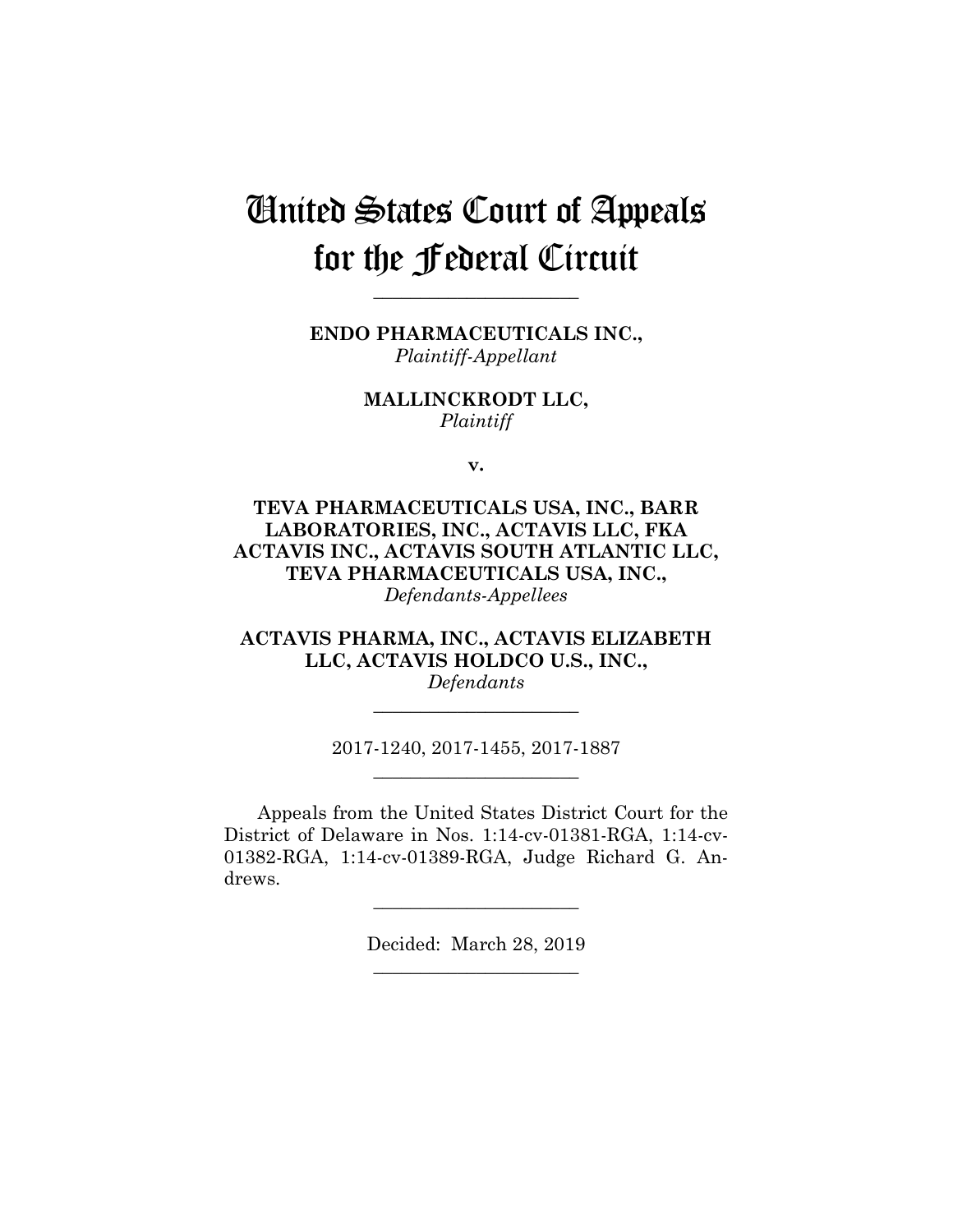# United States Court of Appeals for the Federal Circuit

**ENDO PHARMACEUTICALS INC.,** *Plaintiff-Appellant*

**\_\_\_\_\_\_\_\_\_\_\_\_\_\_\_\_\_\_\_\_\_\_**

**MALLINCKRODT LLC,** *Plaintiff*

**v.**

**TEVA PHARMACEUTICALS USA, INC., BARR LABORATORIES, INC., ACTAVIS LLC, FKA ACTAVIS INC., ACTAVIS SOUTH ATLANTIC LLC, TEVA PHARMACEUTICALS USA, INC.,** *Defendants-Appellees*

**ACTAVIS PHARMA, INC., ACTAVIS ELIZABETH LLC, ACTAVIS HOLDCO U.S., INC.,**

*Defendants* **\_\_\_\_\_\_\_\_\_\_\_\_\_\_\_\_\_\_\_\_\_\_**

2017-1240, 2017-1455, 2017-1887 **\_\_\_\_\_\_\_\_\_\_\_\_\_\_\_\_\_\_\_\_\_\_**

Appeals from the United States District Court for the District of Delaware in Nos. 1:14-cv-01381-RGA, 1:14-cv-01382-RGA, 1:14-cv-01389-RGA, Judge Richard G. Andrews.

> Decided: March 28, 2019 **\_\_\_\_\_\_\_\_\_\_\_\_\_\_\_\_\_\_\_\_\_\_**

**\_\_\_\_\_\_\_\_\_\_\_\_\_\_\_\_\_\_\_\_\_\_**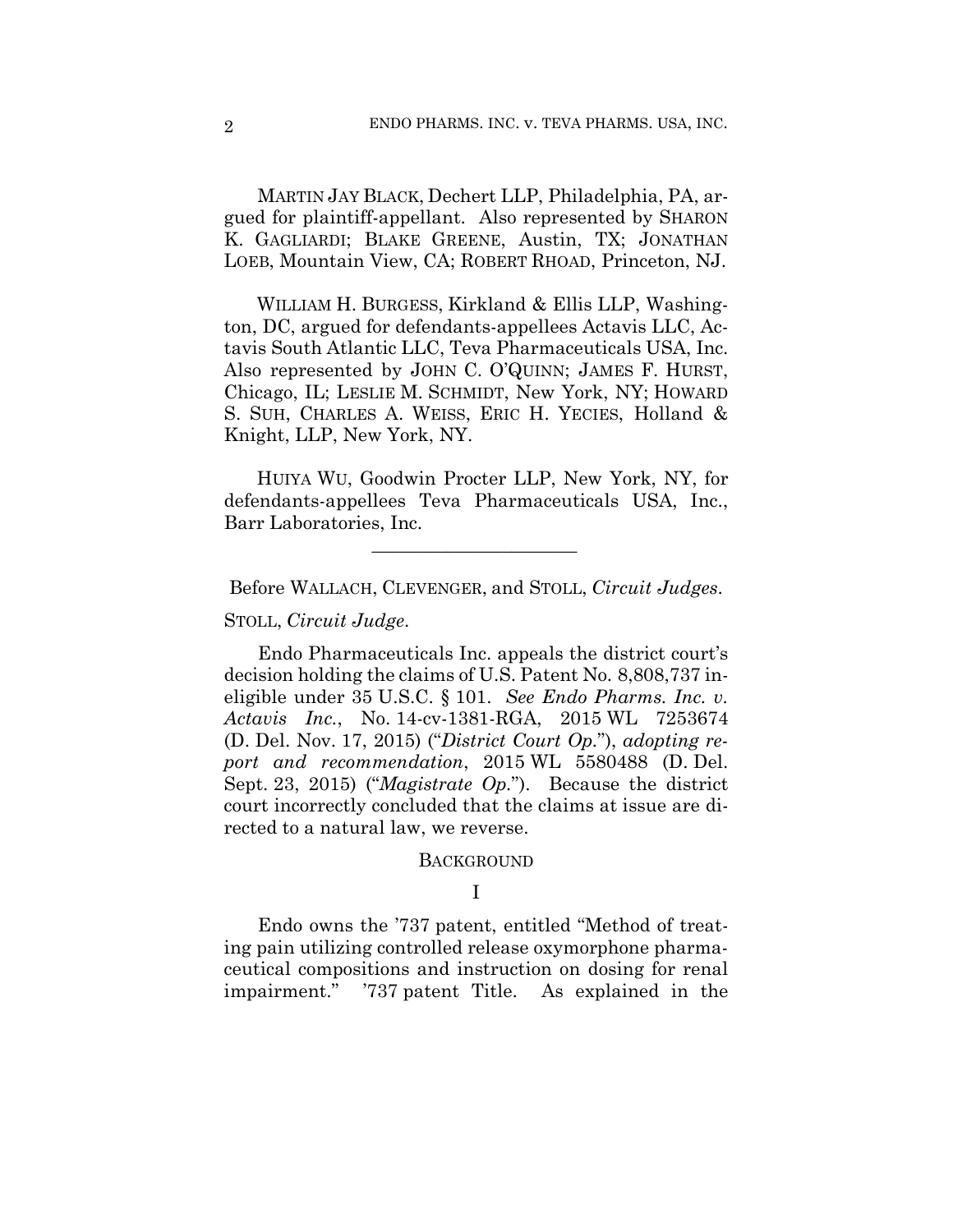MARTIN JAY BLACK, Dechert LLP, Philadelphia, PA, argued for plaintiff-appellant. Also represented by SHARON K. GAGLIARDI; BLAKE GREENE, Austin, TX; JONATHAN LOEB, Mountain View, CA; ROBERT RHOAD, Princeton, NJ.

 WILLIAM H. BURGESS, Kirkland & Ellis LLP, Washington, DC, argued for defendants-appellees Actavis LLC, Actavis South Atlantic LLC, Teva Pharmaceuticals USA, Inc. Also represented by JOHN C. O'QUINN; JAMES F. HURST, Chicago, IL; LESLIE M. SCHMIDT, New York, NY; HOWARD S. SUH, CHARLES A. WEISS, ERIC H. YECIES, Holland & Knight, LLP, New York, NY.

 HUIYA WU, Goodwin Procter LLP, New York, NY, for defendants-appellees Teva Pharmaceuticals USA, Inc., Barr Laboratories, Inc.

Before WALLACH, CLEVENGER, and STOLL, *Circuit Judges*.

 $\mathcal{L}_\text{max}$  and  $\mathcal{L}_\text{max}$  and  $\mathcal{L}_\text{max}$  and  $\mathcal{L}_\text{max}$ 

STOLL, *Circuit Judge*.

Endo Pharmaceuticals Inc. appeals the district court's decision holding the claims of U.S. Patent No. 8,808,737 ineligible under 35 U.S.C. § 101. *See Endo Pharms. Inc. v. Actavis Inc.*, No. 14-cv-1381-RGA, 2015 WL 7253674 (D. Del. Nov. 17, 2015) ("*District Court Op.*"), *adopting report and recommendation*, 2015 WL 5580488 (D. Del. Sept. 23, 2015) ("*Magistrate Op.*"). Because the district court incorrectly concluded that the claims at issue are directed to a natural law, we reverse.

#### **BACKGROUND**

## I

Endo owns the '737 patent, entitled "Method of treating pain utilizing controlled release oxymorphone pharmaceutical compositions and instruction on dosing for renal impairment." '737 patent Title. As explained in the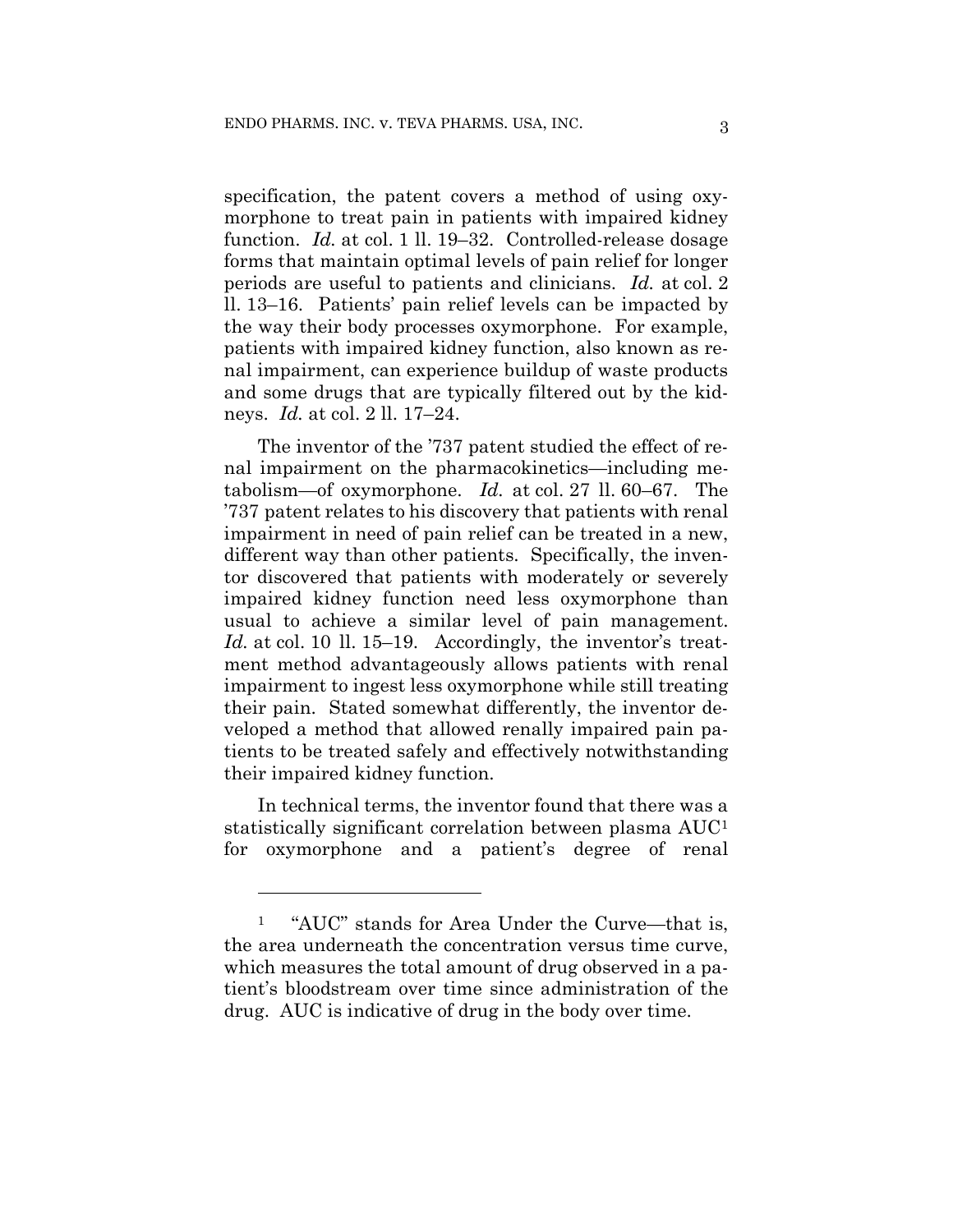specification, the patent covers a method of using oxymorphone to treat pain in patients with impaired kidney function. *Id.* at col. 1 ll. 19–32.Controlled-release dosage forms that maintain optimal levels of pain relief for longer periods are useful to patients and clinicians. *Id.* at col. 2 ll. 13–16. Patients' pain relief levels can be impacted by the way their body processes oxymorphone. For example, patients with impaired kidney function, also known as renal impairment, can experience buildup of waste products and some drugs that are typically filtered out by the kidneys. *Id.* at col. 2 ll. 17–24.

The inventor of the '737 patent studied the effect of renal impairment on the pharmacokinetics—including metabolism—of oxymorphone. *Id.* at col. 27 ll. 60–67. The '737 patent relates to his discovery that patients with renal impairment in need of pain relief can be treated in a new, different way than other patients. Specifically, the inventor discovered that patients with moderately or severely impaired kidney function need less oxymorphone than usual to achieve a similar level of pain management. Id. at col. 10 ll. 15–19. Accordingly, the inventor's treatment method advantageously allows patients with renal impairment to ingest less oxymorphone while still treating their pain. Stated somewhat differently, the inventor developed a method that allowed renally impaired pain patients to be treated safely and effectively notwithstanding their impaired kidney function.

In technical terms, the inventor found that there was a statistically significant correlation between plasma AUC[1](#page-2-0) for oxymorphone and a patient's degree of renal

<span id="page-2-0"></span><sup>&</sup>lt;sup>1</sup> "AUC" stands for Area Under the Curve—that is, the area underneath the concentration versus time curve, which measures the total amount of drug observed in a patient's bloodstream over time since administration of the drug. AUC is indicative of drug in the body over time.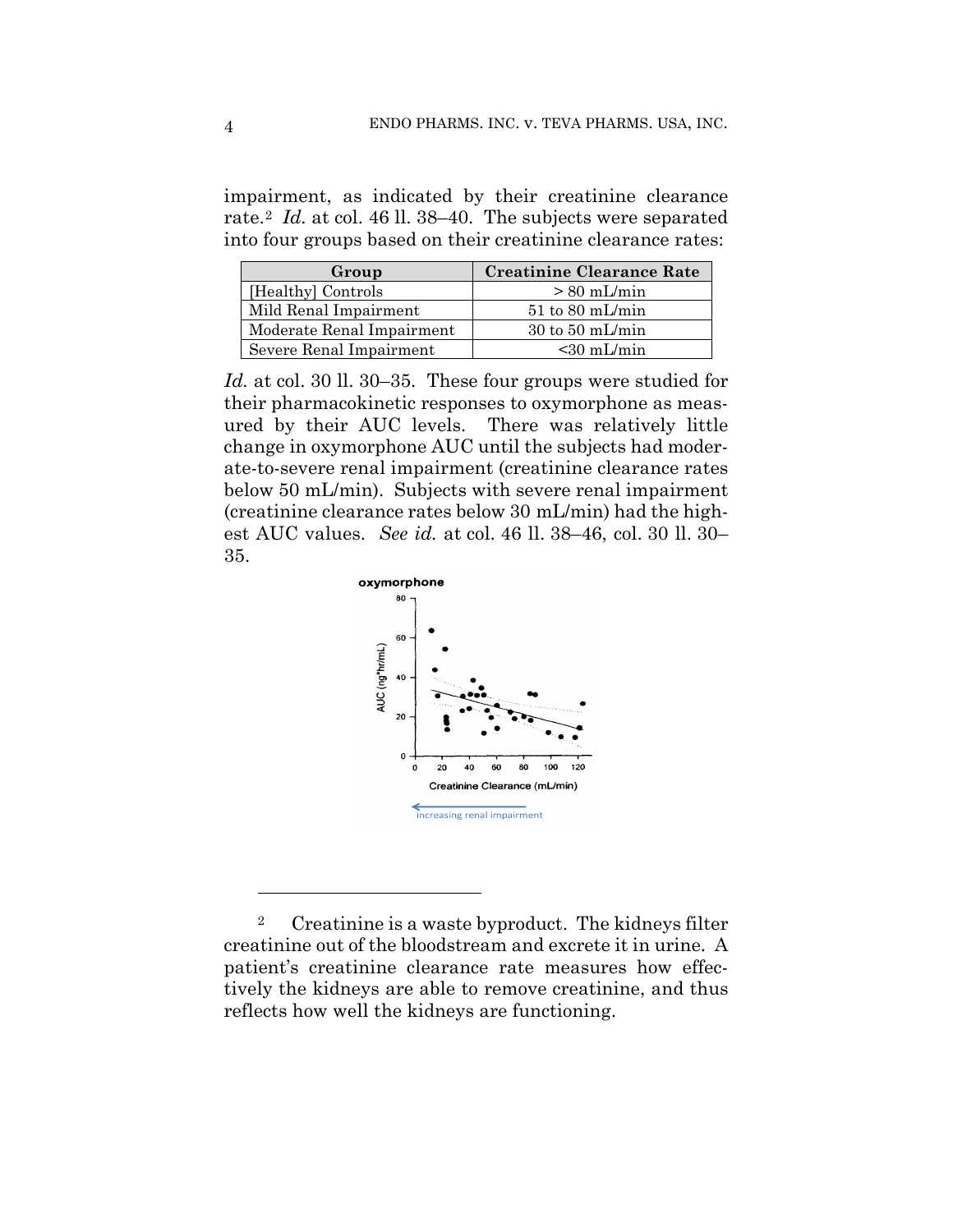impairment, as indicated by their creatinine clearance rate.[2](#page-3-0) *Id.* at col. 46 ll. 38–40. The subjects were separated into four groups based on their creatinine clearance rates:

| <b>Creatinine Clearance Rate</b><br>Group |                                    |
|-------------------------------------------|------------------------------------|
| [Healthy] Controls                        | $> 80$ mL/min                      |
| Mild Renal Impairment                     | $51$ to 80 mL/min                  |
| Moderate Renal Impairment                 | $30 \text{ to } 50 \text{ mL/min}$ |
| Severe Renal Impairment                   | $< 30$ mL/min                      |

*Id.* at col. 30 ll. 30–35. These four groups were studied for their pharmacokinetic responses to oxymorphone as measured by their AUC levels. There was relatively little change in oxymorphone AUC until the subjects had moderate-to-severe renal impairment (creatinine clearance rates below 50 mL/min). Subjects with severe renal impairment (creatinine clearance rates below 30 mL/min) had the highest AUC values. *See id.* at col. 46 ll. 38–46, col. 30 ll. 30– 35.



<span id="page-3-0"></span><sup>2</sup> Creatinine is a waste byproduct. The kidneys filter creatinine out of the bloodstream and excrete it in urine. A patient's creatinine clearance rate measures how effectively the kidneys are able to remove creatinine, and thus reflects how well the kidneys are functioning.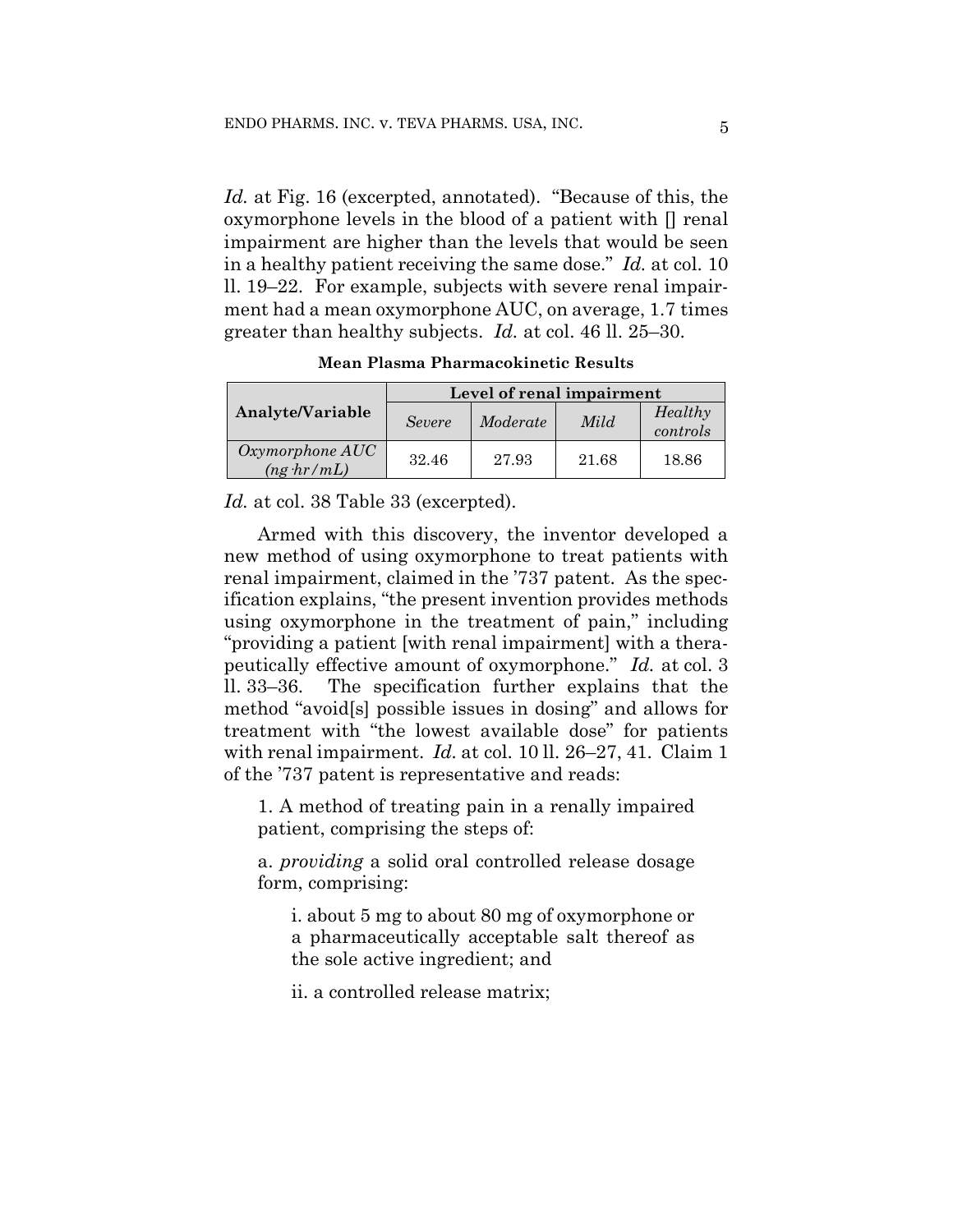*Id.* at Fig. 16 (excerpted, annotated). "Because of this, the oxymorphone levels in the blood of a patient with [] renal impairment are higher than the levels that would be seen in a healthy patient receiving the same dose." *Id.* at col. 10 ll. 19–22. For example, subjects with severe renal impairment had a mean oxymorphone AUC, on average, 1.7 times greater than healthy subjects. *Id.* at col. 46 ll. 25–30.

| Analyte/Variable                      | Level of renal impairment |          |       |                     |
|---------------------------------------|---------------------------|----------|-------|---------------------|
|                                       | <b>Severe</b>             | Moderate | Mild  | Healthy<br>controls |
| Oxymorphone AUC<br>$(ng \cdot hr/mL)$ | 32.46                     | 27.93    | 21.68 | 18.86               |

**Mean Plasma Pharmacokinetic Results**

*Id.* at col. 38 Table 33 (excerpted).

Armed with this discovery, the inventor developed a new method of using oxymorphone to treat patients with renal impairment, claimed in the '737 patent. As the specification explains, "the present invention provides methods using oxymorphone in the treatment of pain," including "providing a patient [with renal impairment] with a therapeutically effective amount of oxymorphone." *Id.* at col. 3 ll. 33–36. The specification further explains that the method "avoid[s] possible issues in dosing" and allows for treatment with "the lowest available dose" for patients with renal impairment. *Id.* at col. 10 ll. 26–27, 41. Claim 1 of the '737 patent is representative and reads:

1. A method of treating pain in a renally impaired patient, comprising the steps of:

a. *providing* a solid oral controlled release dosage form, comprising:

i. about 5 mg to about 80 mg of oxymorphone or a pharmaceutically acceptable salt thereof as the sole active ingredient; and

ii. a controlled release matrix;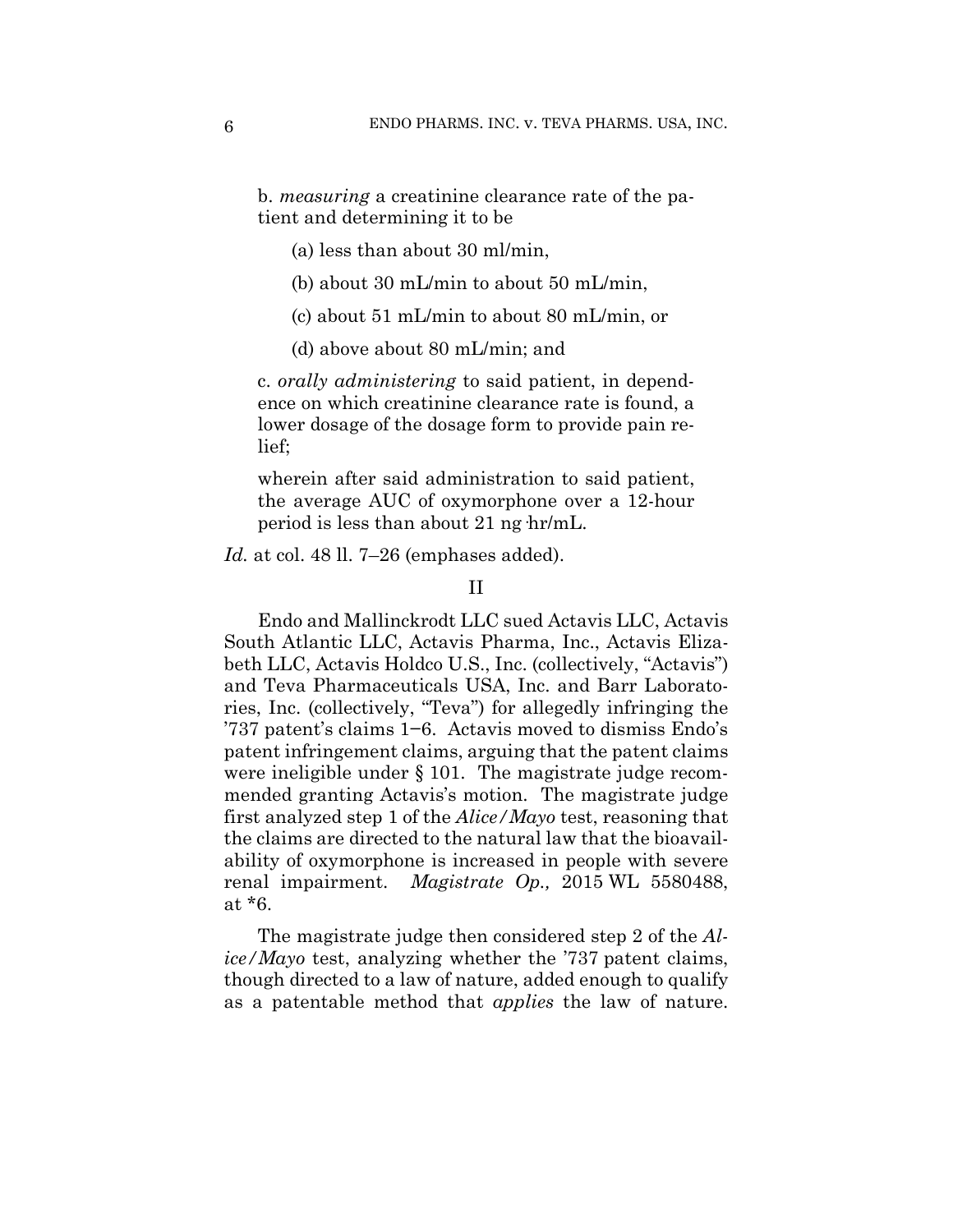b. *measuring* a creatinine clearance rate of the patient and determining it to be

- (a) less than about 30 ml/min,
- (b) about 30 mL/min to about 50 mL/min,
- (c) about 51 mL/min to about 80 mL/min, or
- (d) above about 80 mL/min; and

c. *orally administering* to said patient, in dependence on which creatinine clearance rate is found, a lower dosage of the dosage form to provide pain relief;

wherein after said administration to said patient, the average AUC of oxymorphone over a 12-hour period is less than about 21 ng·hr/mL.

*Id.* at col. 48 ll. 7–26 (emphases added).

## II

Endo and Mallinckrodt LLC sued Actavis LLC, Actavis South Atlantic LLC, Actavis Pharma, Inc., Actavis Elizabeth LLC, Actavis Holdco U.S., Inc. (collectively, "Actavis") and Teva Pharmaceuticals USA, Inc. and Barr Laboratories, Inc. (collectively, "Teva") for allegedly infringing the '737 patent's claims 1−6. Actavis moved to dismiss Endo's patent infringement claims, arguing that the patent claims were ineligible under § 101. The magistrate judge recommended granting Actavis's motion. The magistrate judge first analyzed step 1 of the *Alice/Mayo* test, reasoning that the claims are directed to the natural law that the bioavailability of oxymorphone is increased in people with severe renal impairment. *Magistrate Op.,* 2015 WL 5580488, at \*6.

The magistrate judge then considered step 2 of the *Alice/Mayo* test, analyzing whether the '737 patent claims, though directed to a law of nature, added enough to qualify as a patentable method that *applies* the law of nature.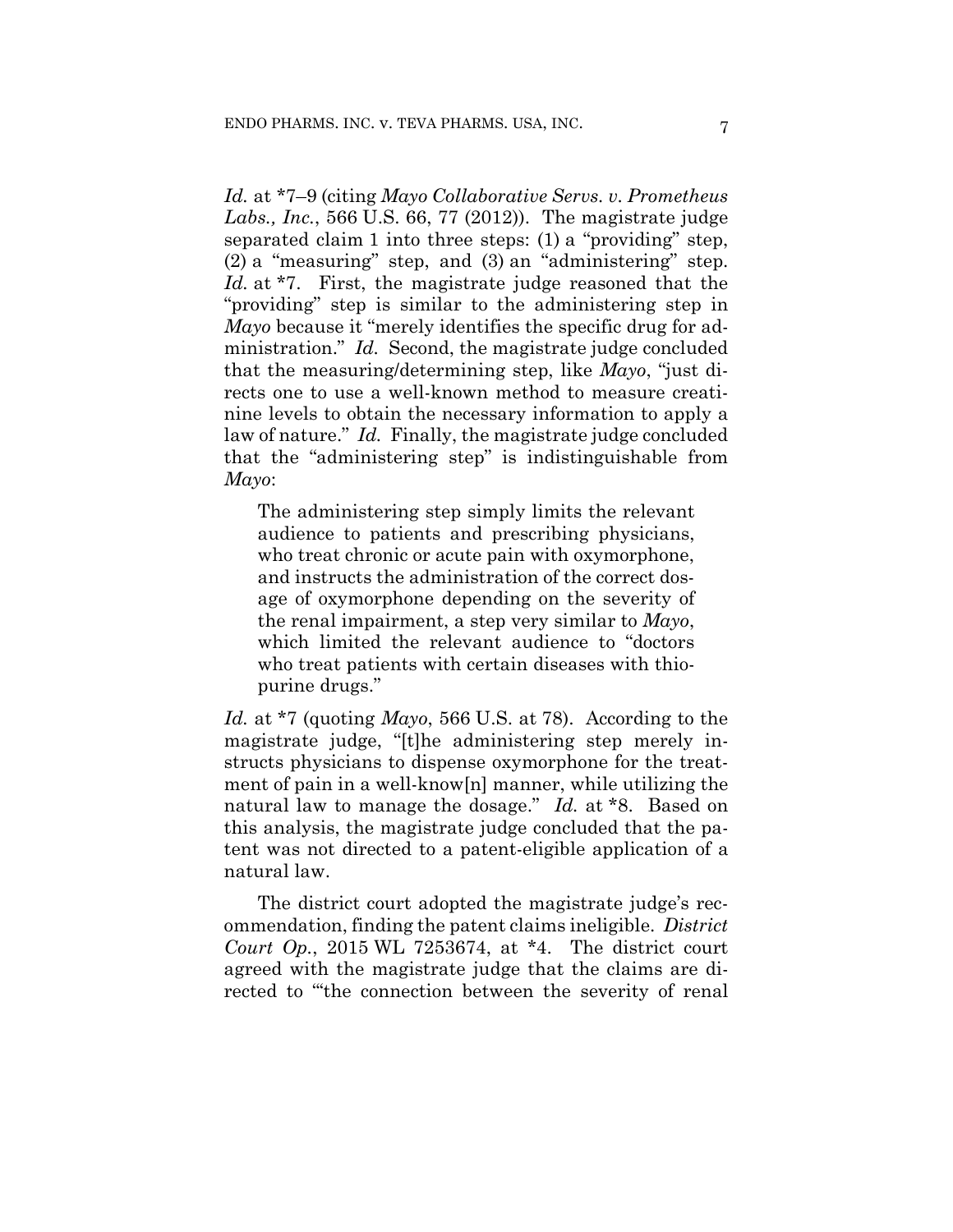*Id.* at \*7–9 (citing *Mayo Collaborative Servs. v. Prometheus Labs., Inc.*, 566 U.S. 66, 77 (2012)). The magistrate judge separated claim 1 into three steps: (1) a "providing" step, (2) a "measuring" step, and (3) an "administering" step. *Id.* at \*7. First, the magistrate judge reasoned that the "providing" step is similar to the administering step in *Mayo* because it "merely identifies the specific drug for administration." *Id.* Second, the magistrate judge concluded that the measuring/determining step, like *Mayo*, "just directs one to use a well-known method to measure creatinine levels to obtain the necessary information to apply a law of nature." *Id.* Finally, the magistrate judge concluded that the "administering step" is indistinguishable from *Mayo*:

The administering step simply limits the relevant audience to patients and prescribing physicians, who treat chronic or acute pain with oxymorphone, and instructs the administration of the correct dosage of oxymorphone depending on the severity of the renal impairment, a step very similar to *Mayo*, which limited the relevant audience to "doctors who treat patients with certain diseases with thiopurine drugs."

*Id.* at \*7 (quoting *Mayo*, 566 U.S. at 78). According to the magistrate judge, "[t]he administering step merely instructs physicians to dispense oxymorphone for the treatment of pain in a well-know[n] manner, while utilizing the natural law to manage the dosage." *Id.* at \*8. Based on this analysis, the magistrate judge concluded that the patent was not directed to a patent-eligible application of a natural law.

The district court adopted the magistrate judge's recommendation, finding the patent claims ineligible. *District Court Op.*, 2015 WL 7253674, at \*4. The district court agreed with the magistrate judge that the claims are directed to "'the connection between the severity of renal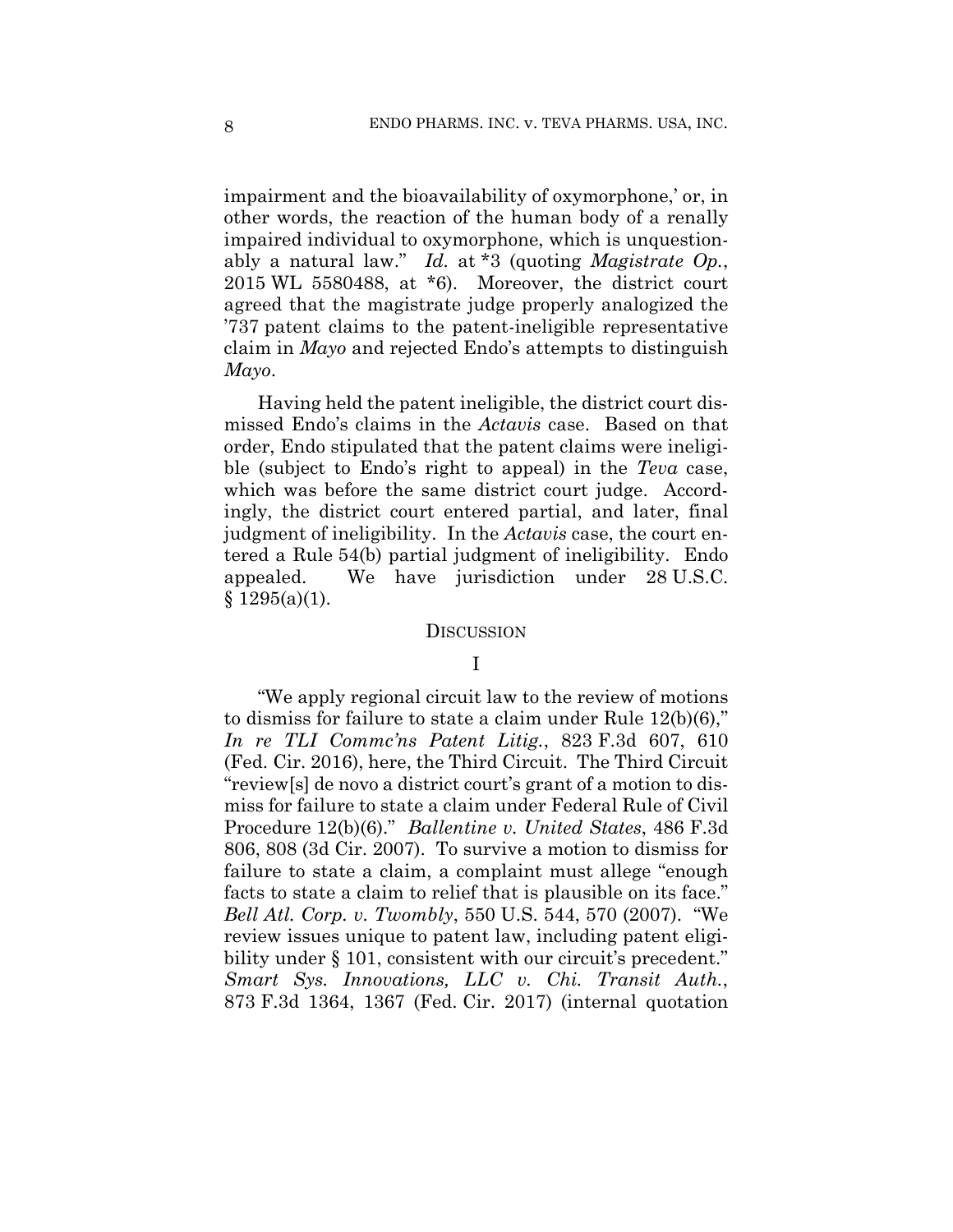impairment and the bioavailability of oxymorphone,' or, in other words, the reaction of the human body of a renally impaired individual to oxymorphone, which is unquestionably a natural law." *Id.* at \*3 (quoting *Magistrate Op.*, 2015 WL 5580488, at \*6). Moreover, the district court agreed that the magistrate judge properly analogized the '737 patent claims to the patent-ineligible representative claim in *Mayo* and rejected Endo's attempts to distinguish *Mayo*.

Having held the patent ineligible, the district court dismissed Endo's claims in the *Actavis* case. Based on that order, Endo stipulated that the patent claims were ineligible (subject to Endo's right to appeal) in the *Teva* case, which was before the same district court judge. Accordingly, the district court entered partial, and later, final judgment of ineligibility. In the *Actavis* case, the court entered a Rule 54(b) partial judgment of ineligibility. Endo appealed. We have jurisdiction under 28 U.S.C.  $§ 1295(a)(1).$ 

#### **DISCUSSION**

## I

"We apply regional circuit law to the review of motions to dismiss for failure to state a claim under Rule 12(b)(6)," *In re TLI Commc'ns Patent Litig.*, 823 F.3d 607, 610 (Fed. Cir. 2016), here, the Third Circuit. The Third Circuit "review[s] de novo a district court's grant of a motion to dismiss for failure to state a claim under Federal Rule of Civil Procedure 12(b)(6)." *Ballentine v. United States*, 486 F.3d 806, 808 (3d Cir. 2007). To survive a motion to dismiss for failure to state a claim, a complaint must allege "enough facts to state a claim to relief that is plausible on its face." *Bell Atl. Corp. v. Twombly*, 550 U.S. 544, 570 (2007). "We review issues unique to patent law, including patent eligibility under § 101, consistent with our circuit's precedent." *Smart Sys. Innovations, LLC v. Chi. Transit Auth.*, 873 F.3d 1364, 1367 (Fed. Cir. 2017) (internal quotation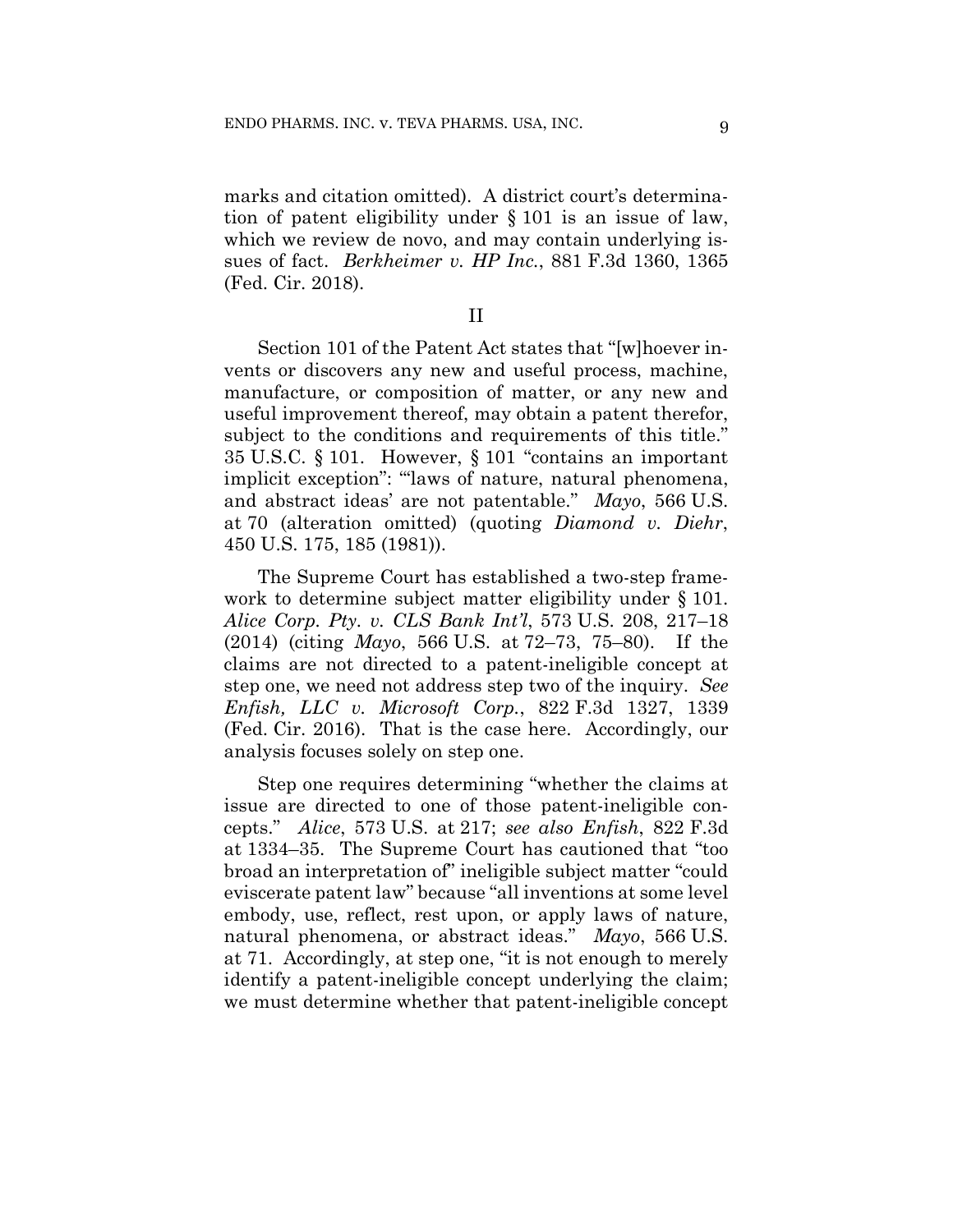marks and citation omitted). A district court's determination of patent eligibility under § 101 is an issue of law, which we review de novo, and may contain underlying issues of fact. *Berkheimer v. HP Inc.*, 881 F.3d 1360, 1365 (Fed. Cir. 2018).

II

Section 101 of the Patent Act states that "[w]hoever invents or discovers any new and useful process, machine, manufacture, or composition of matter, or any new and useful improvement thereof, may obtain a patent therefor, subject to the conditions and requirements of this title." 35 U.S.C. § 101. However, § 101 "contains an important implicit exception": "laws of nature, natural phenomena, and abstract ideas' are not patentable." *Mayo*, 566 U.S. at 70 (alteration omitted) (quoting *Diamond v. Diehr*, 450 U.S. 175, 185 (1981)).

The Supreme Court has established a two-step framework to determine subject matter eligibility under § 101. *Alice Corp. Pty. v. CLS Bank Int'l*, 573 U.S. 208, 217–18 (2014) (citing *Mayo*, 566 U.S. at 72–73, 75–80). If the claims are not directed to a patent-ineligible concept at step one, we need not address step two of the inquiry. *See Enfish, LLC v. Microsoft Corp.*, 822 F.3d 1327, 1339 (Fed. Cir. 2016). That is the case here. Accordingly, our analysis focuses solely on step one.

Step one requires determining "whether the claims at issue are directed to one of those patent-ineligible concepts." *Alice*, 573 U.S. at 217; *see also Enfish*, 822 F.3d at 1334–35. The Supreme Court has cautioned that "too broad an interpretation of" ineligible subject matter "could eviscerate patent law" because "all inventions at some level embody, use, reflect, rest upon, or apply laws of nature, natural phenomena, or abstract ideas." *Mayo*, 566 U.S. at 71. Accordingly, at step one, "it is not enough to merely identify a patent-ineligible concept underlying the claim; we must determine whether that patent-ineligible concept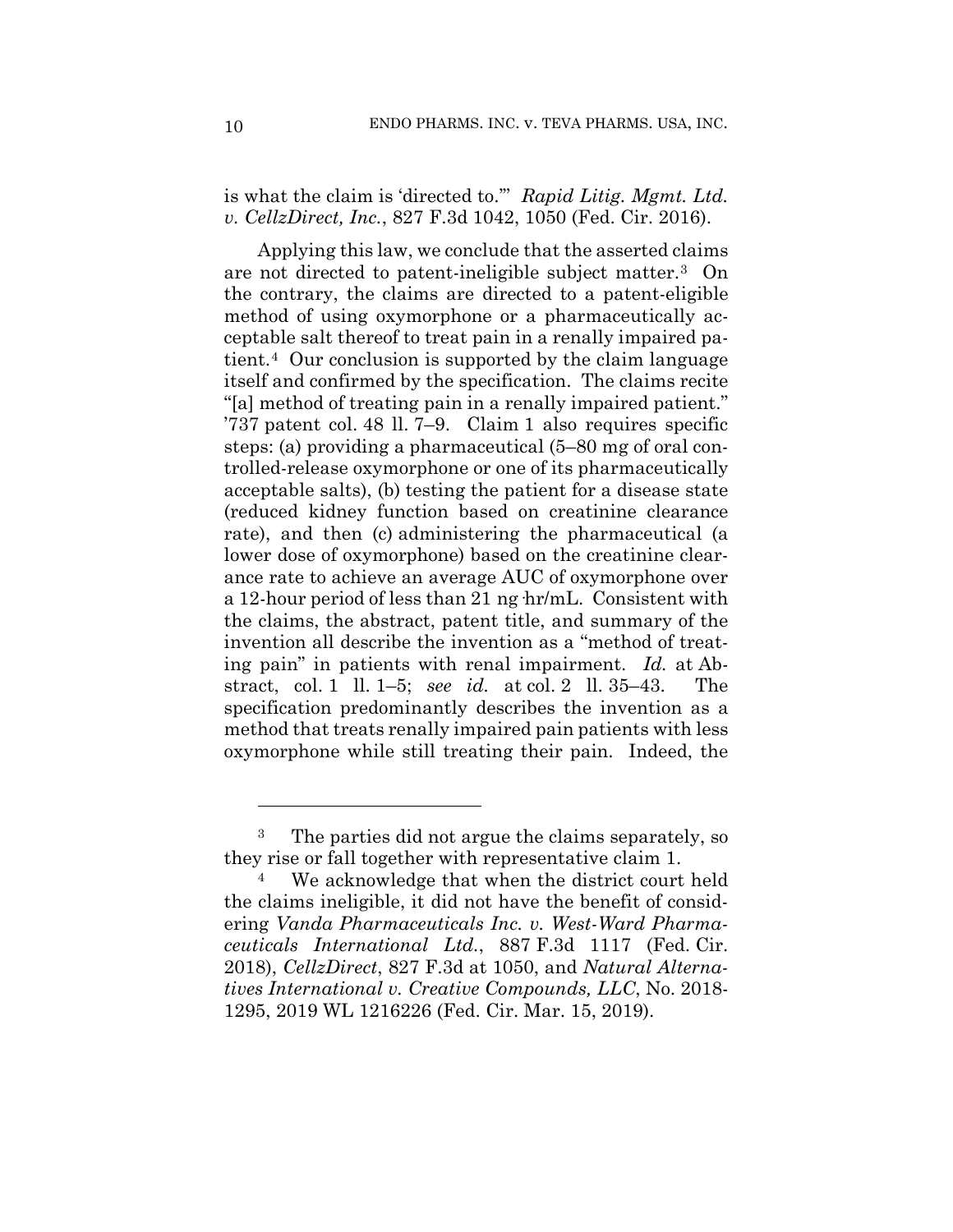is what the claim is 'directed to.'" *Rapid Litig. Mgmt. Ltd. v. CellzDirect, Inc.*, 827 F.3d 1042, 1050 (Fed. Cir. 2016).

Applying this law, we conclude that the asserted claims are not directed to patent-ineligible subject matter.[3](#page-9-0) On the contrary, the claims are directed to a patent-eligible method of using oxymorphone or a pharmaceutically acceptable salt thereof to treat pain in a renally impaired patient.[4](#page-9-1) Our conclusion is supported by the claim language itself and confirmed by the specification. The claims recite "[a] method of treating pain in a renally impaired patient." '737 patent col. 48 ll. 7–9. Claim 1 also requires specific steps: (a) providing a pharmaceutical (5–80 mg of oral controlled-release oxymorphone or one of its pharmaceutically acceptable salts), (b) testing the patient for a disease state (reduced kidney function based on creatinine clearance rate), and then (c) administering the pharmaceutical (a lower dose of oxymorphone) based on the creatinine clearance rate to achieve an average AUC of oxymorphone over a 12-hour period of less than 21 ng·hr/mL. Consistent with the claims, the abstract, patent title, and summary of the invention all describe the invention as a "method of treating pain" in patients with renal impairment. *Id.* at Abstract, col. 1 ll. 1–5; *see id.* at col. 2 ll. 35–43. The specification predominantly describes the invention as a method that treats renally impaired pain patients with less oxymorphone while still treating their pain. Indeed, the

<span id="page-9-0"></span><sup>3</sup> The parties did not argue the claims separately, so they rise or fall together with representative claim 1.

<span id="page-9-1"></span>We acknowledge that when the district court held the claims ineligible, it did not have the benefit of considering *Vanda Pharmaceuticals Inc. v. West-Ward Pharmaceuticals International Ltd.*, 887 F.3d 1117 (Fed. Cir. 2018), *CellzDirect*, 827 F.3d at 1050, and *Natural Alternatives International v. Creative Compounds, LLC*, No. 2018- 1295, 2019 WL 1216226 (Fed. Cir. Mar. 15, 2019).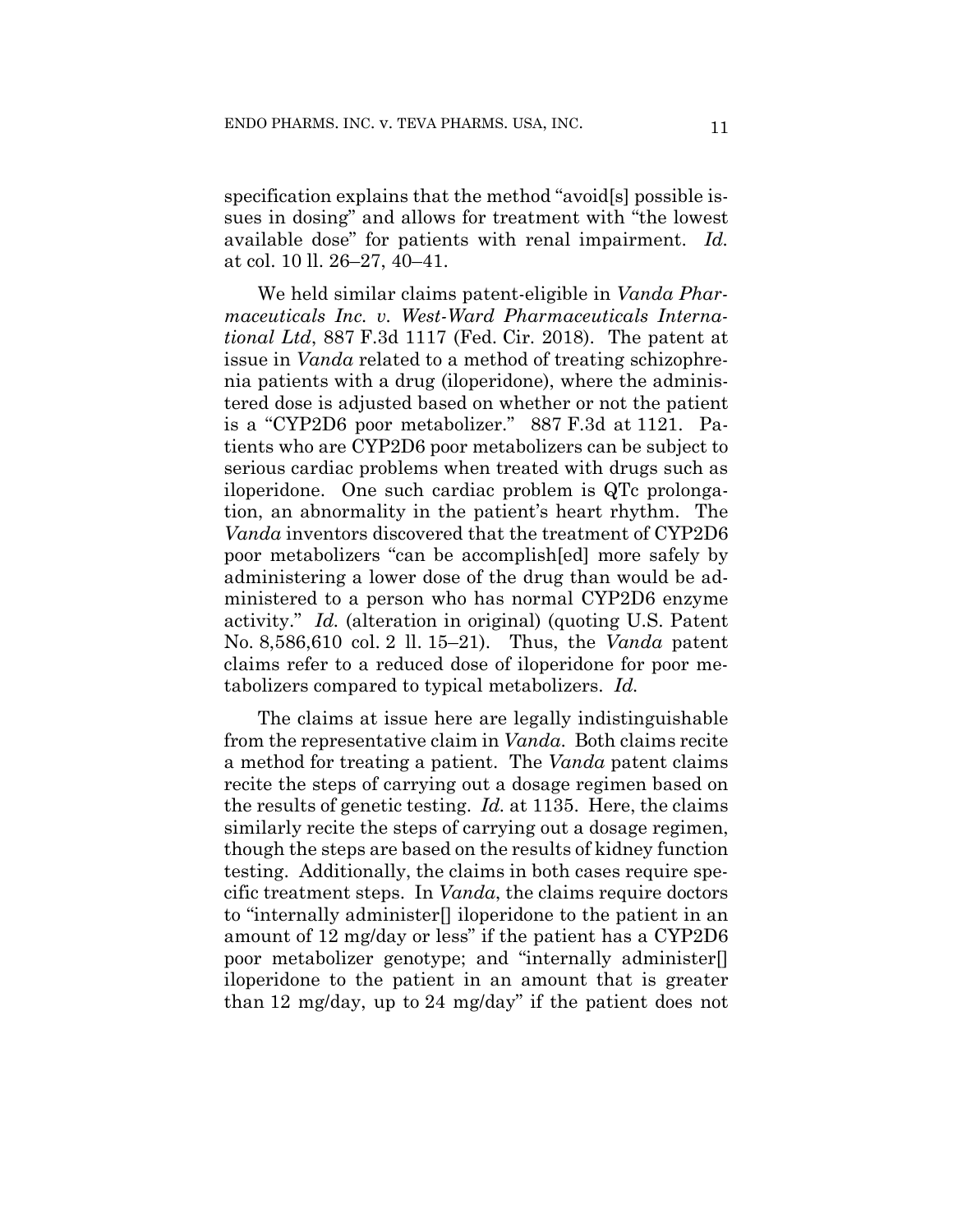specification explains that the method "avoid[s] possible issues in dosing" and allows for treatment with "the lowest available dose" for patients with renal impairment. *Id.*  at col. 10 ll. 26–27, 40–41.

We held similar claims patent-eligible in *Vanda Pharmaceuticals Inc. v. West-Ward Pharmaceuticals International Ltd*, 887 F.3d 1117 (Fed. Cir. 2018). The patent at issue in *Vanda* related to a method of treating schizophrenia patients with a drug (iloperidone), where the administered dose is adjusted based on whether or not the patient is a "CYP2D6 poor metabolizer." 887 F.3d at 1121. Patients who are CYP2D6 poor metabolizers can be subject to serious cardiac problems when treated with drugs such as iloperidone. One such cardiac problem is QTc prolongation, an abnormality in the patient's heart rhythm. The *Vanda* inventors discovered that the treatment of CYP2D6 poor metabolizers "can be accomplish[ed] more safely by administering a lower dose of the drug than would be administered to a person who has normal CYP2D6 enzyme activity." *Id.* (alteration in original) (quoting U.S. Patent No. 8,586,610 col. 2 ll. 15–21). Thus, the *Vanda* patent claims refer to a reduced dose of iloperidone for poor metabolizers compared to typical metabolizers. *Id.* 

The claims at issue here are legally indistinguishable from the representative claim in *Vanda*. Both claims recite a method for treating a patient. The *Vanda* patent claims recite the steps of carrying out a dosage regimen based on the results of genetic testing. *Id.* at 1135. Here, the claims similarly recite the steps of carrying out a dosage regimen, though the steps are based on the results of kidney function testing. Additionally, the claims in both cases require specific treatment steps. In *Vanda*, the claims require doctors to "internally administer[] iloperidone to the patient in an amount of 12 mg/day or less" if the patient has a CYP2D6 poor metabolizer genotype; and "internally administer[] iloperidone to the patient in an amount that is greater than 12 mg/day, up to 24 mg/day" if the patient does not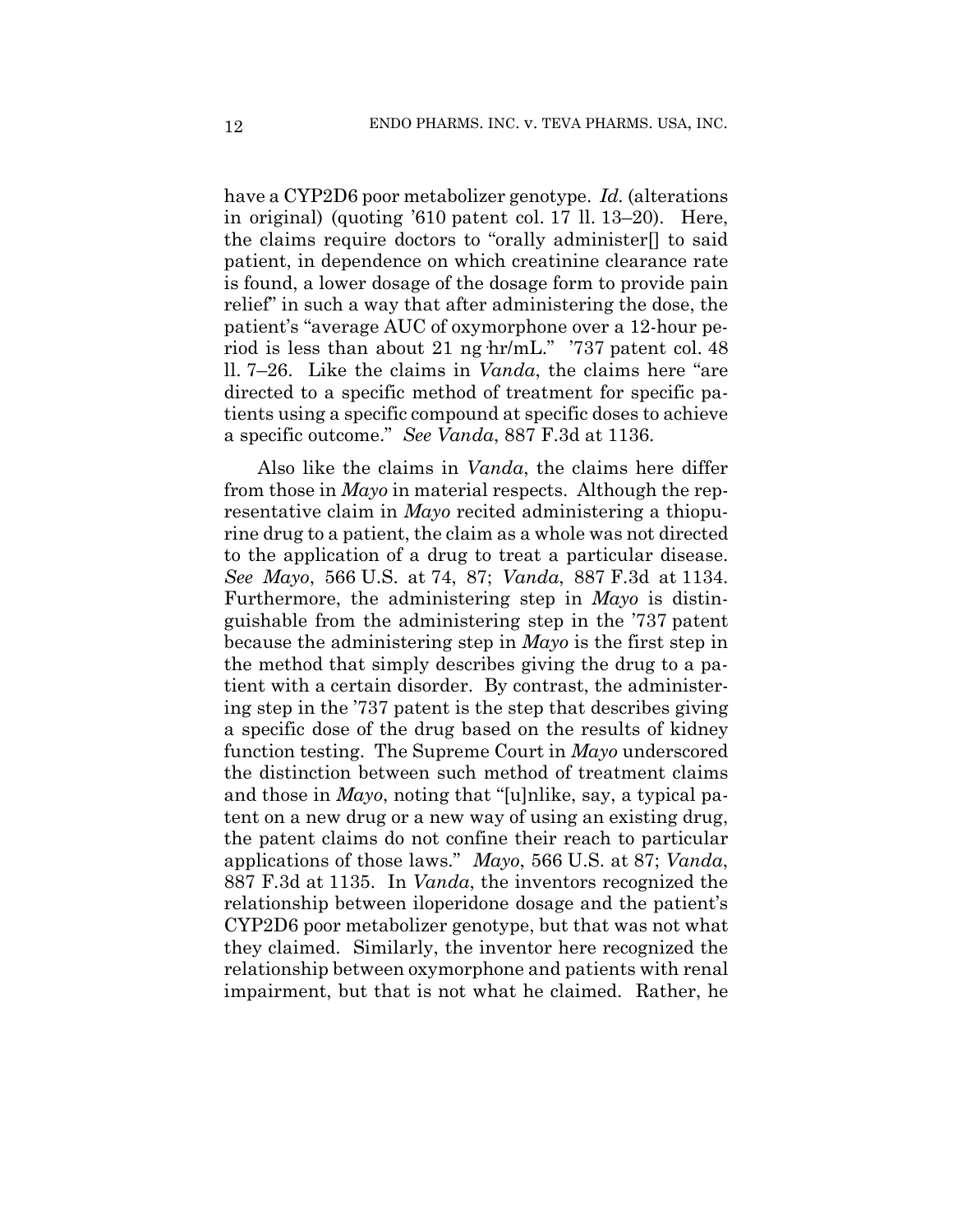have a CYP2D6 poor metabolizer genotype. *Id.* (alterations in original) (quoting '610 patent col. 17 ll. 13–20). Here, the claims require doctors to "orally administer[] to said patient, in dependence on which creatinine clearance rate is found, a lower dosage of the dosage form to provide pain relief" in such a way that after administering the dose, the patient's "average AUC of oxymorphone over a 12-hour period is less than about 21 ng hr/mL." '737 patent col. 48 ll. 7–26. Like the claims in *Vanda*, the claims here "are directed to a specific method of treatment for specific patients using a specific compound at specific doses to achieve a specific outcome." *See Vanda*, 887 F.3d at 1136.

Also like the claims in *Vanda*, the claims here differ from those in *Mayo* in material respects. Although the representative claim in *Mayo* recited administering a thiopurine drug to a patient, the claim as a whole was not directed to the application of a drug to treat a particular disease. *See Mayo*, 566 U.S. at 74, 87; *Vanda*, 887 F.3d at 1134. Furthermore, the administering step in *Mayo* is distinguishable from the administering step in the '737 patent because the administering step in *Mayo* is the first step in the method that simply describes giving the drug to a patient with a certain disorder. By contrast, the administering step in the '737 patent is the step that describes giving a specific dose of the drug based on the results of kidney function testing. The Supreme Court in *Mayo* underscored the distinction between such method of treatment claims and those in *Mayo*, noting that "[u]nlike, say, a typical patent on a new drug or a new way of using an existing drug, the patent claims do not confine their reach to particular applications of those laws." *Mayo*, 566 U.S. at 87; *Vanda*, 887 F.3d at 1135. In *Vanda*, the inventors recognized the relationship between iloperidone dosage and the patient's CYP2D6 poor metabolizer genotype, but that was not what they claimed. Similarly, the inventor here recognized the relationship between oxymorphone and patients with renal impairment, but that is not what he claimed. Rather, he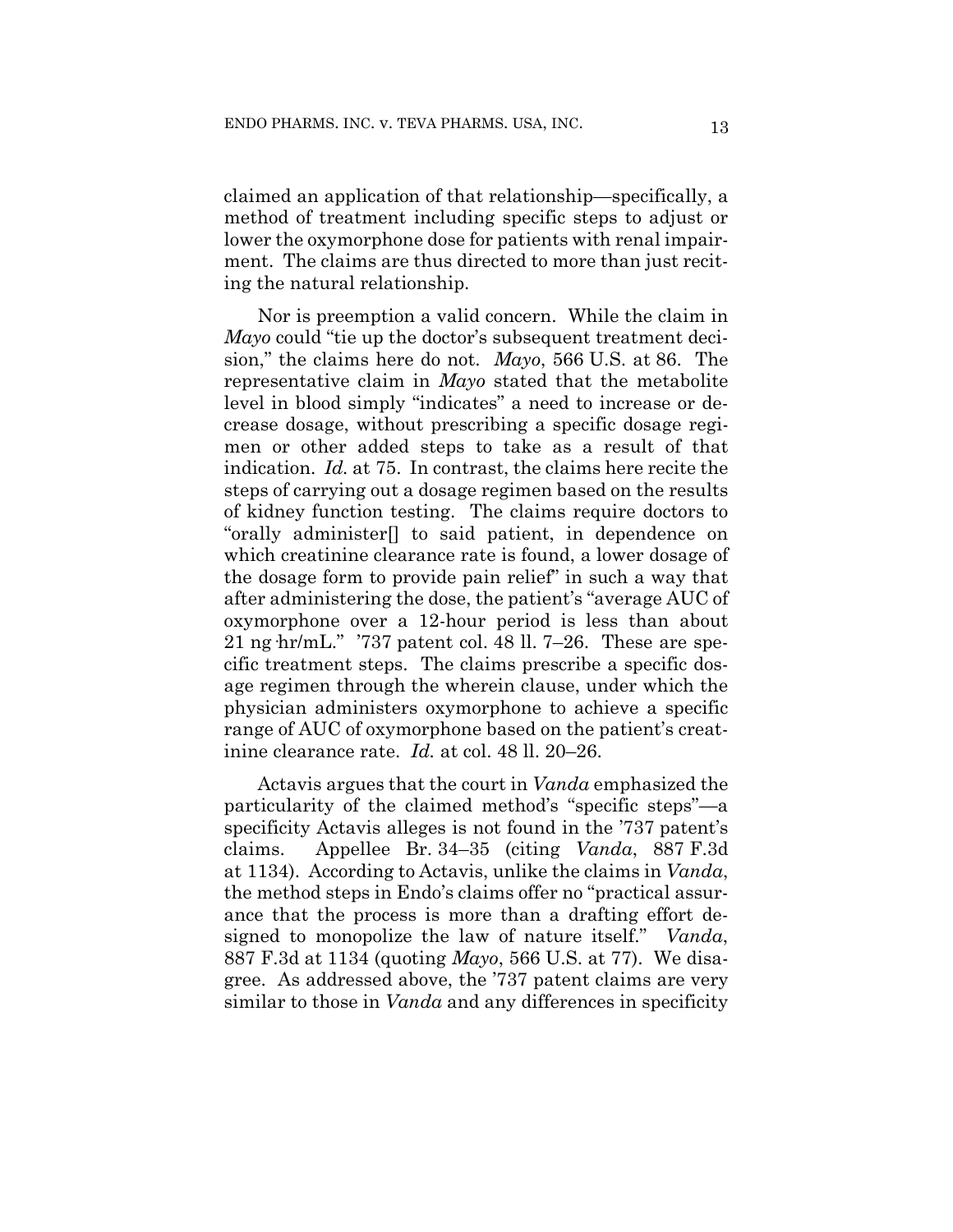claimed an application of that relationship—specifically, a method of treatment including specific steps to adjust or lower the oxymorphone dose for patients with renal impairment. The claims are thus directed to more than just reciting the natural relationship.

Nor is preemption a valid concern. While the claim in *Mayo* could "tie up the doctor's subsequent treatment decision," the claims here do not. *Mayo*, 566 U.S. at 86. The representative claim in *Mayo* stated that the metabolite level in blood simply "indicates" a need to increase or decrease dosage, without prescribing a specific dosage regimen or other added steps to take as a result of that indication. *Id.* at 75. In contrast, the claims here recite the steps of carrying out a dosage regimen based on the results of kidney function testing. The claims require doctors to "orally administer[] to said patient, in dependence on which creatinine clearance rate is found, a lower dosage of the dosage form to provide pain relief" in such a way that after administering the dose, the patient's "average AUC of oxymorphone over a 12-hour period is less than about 21 ng  $hr/mL$ ." '737 patent col. 48 ll. 7–26. These are specific treatment steps. The claims prescribe a specific dosage regimen through the wherein clause, under which the physician administers oxymorphone to achieve a specific range of AUC of oxymorphone based on the patient's creatinine clearance rate. *Id.* at col. 48 ll. 20–26.

Actavis argues that the court in *Vanda* emphasized the particularity of the claimed method's "specific steps"—a specificity Actavis alleges is not found in the '737 patent's claims. Appellee Br. 34–35 (citing *Vanda*, 887 F.3d at 1134). According to Actavis, unlike the claims in *Vanda*, the method steps in Endo's claims offer no "practical assurance that the process is more than a drafting effort designed to monopolize the law of nature itself." *Vanda*, 887 F.3d at 1134 (quoting *Mayo*, 566 U.S. at 77). We disagree. As addressed above, the '737 patent claims are very similar to those in *Vanda* and any differences in specificity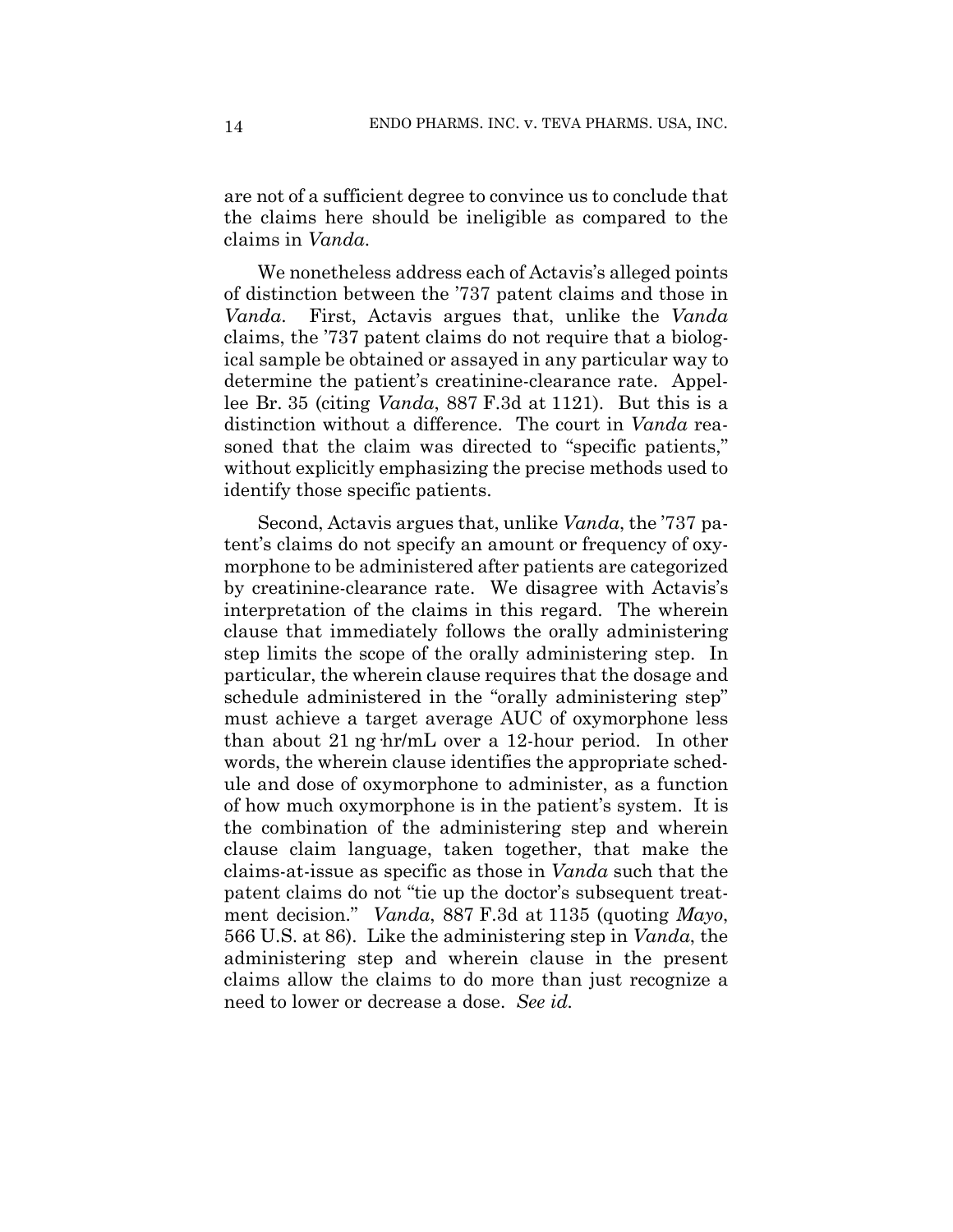are not of a sufficient degree to convince us to conclude that the claims here should be ineligible as compared to the claims in *Vanda*.

We nonetheless address each of Actavis's alleged points of distinction between the '737 patent claims and those in *Vanda*. First, Actavis argues that, unlike the *Vanda* claims, the '737 patent claims do not require that a biological sample be obtained or assayed in any particular way to determine the patient's creatinine-clearance rate. Appellee Br. 35 (citing *Vanda*, 887 F.3d at 1121). But this is a distinction without a difference. The court in *Vanda* reasoned that the claim was directed to "specific patients," without explicitly emphasizing the precise methods used to identify those specific patients.

Second, Actavis argues that, unlike *Vanda*, the '737 patent's claims do not specify an amount or frequency of oxymorphone to be administered after patients are categorized by creatinine-clearance rate. We disagree with Actavis's interpretation of the claims in this regard. The wherein clause that immediately follows the orally administering step limits the scope of the orally administering step. In particular, the wherein clause requires that the dosage and schedule administered in the "orally administering step" must achieve a target average AUC of oxymorphone less than about 21 ng·hr/mL over a 12-hour period. In other words, the wherein clause identifies the appropriate schedule and dose of oxymorphone to administer, as a function of how much oxymorphone is in the patient's system. It is the combination of the administering step and wherein clause claim language, taken together, that make the claims-at-issue as specific as those in *Vanda* such that the patent claims do not "tie up the doctor's subsequent treatment decision." *Vanda*, 887 F.3d at 1135 (quoting *Mayo*, 566 U.S. at 86). Like the administering step in *Vanda*, the administering step and wherein clause in the present claims allow the claims to do more than just recognize a need to lower or decrease a dose. *See id.*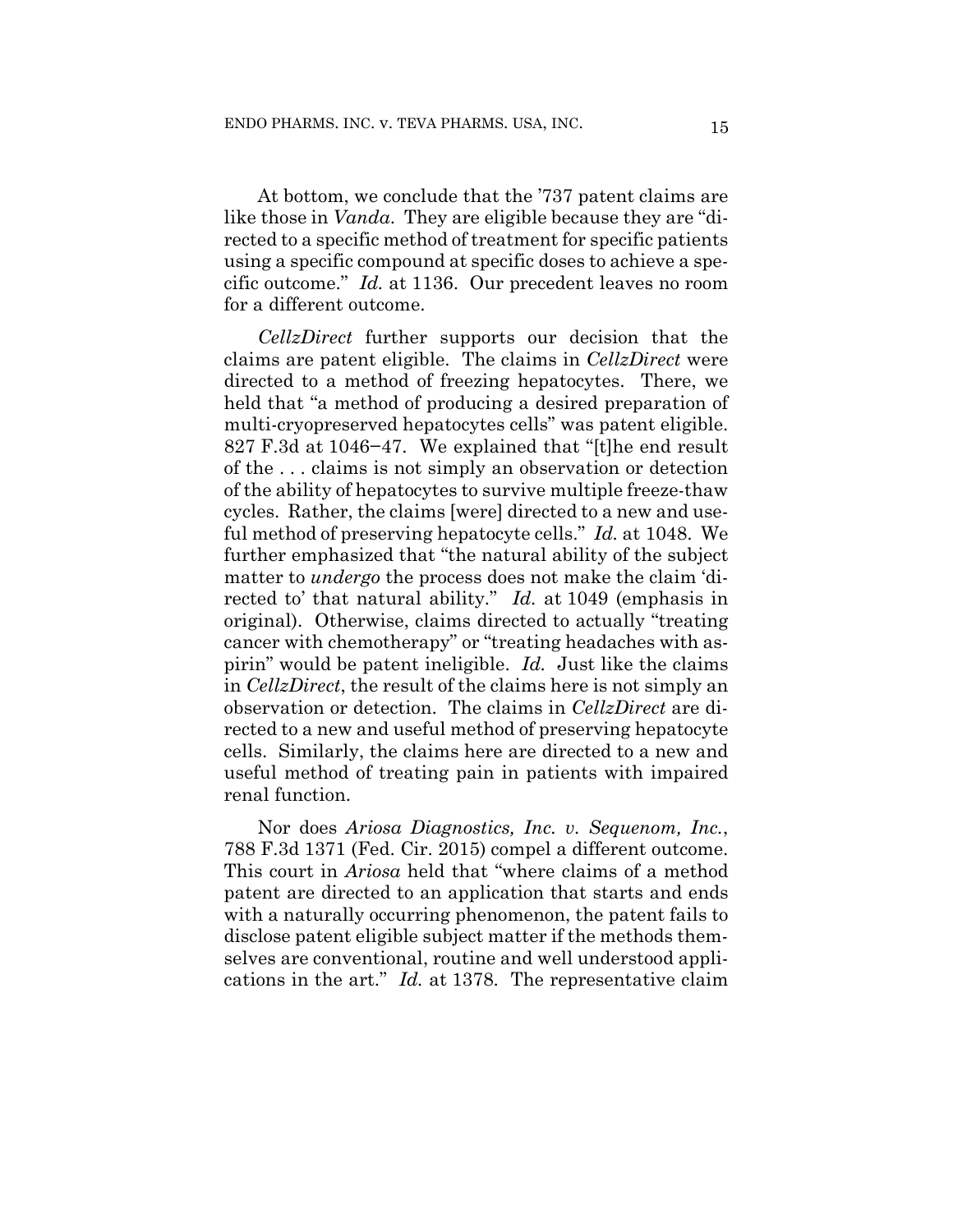At bottom, we conclude that the '737 patent claims are like those in *Vanda*. They are eligible because they are "directed to a specific method of treatment for specific patients using a specific compound at specific doses to achieve a specific outcome." *Id.* at 1136. Our precedent leaves no room for a different outcome.

*CellzDirect* further supports our decision that the claims are patent eligible. The claims in *CellzDirect* were directed to a method of freezing hepatocytes. There, we held that "a method of producing a desired preparation of multi-cryopreserved hepatocytes cells" was patent eligible. 827 F.3d at 1046−47. We explained that "[t]he end result of the . . . claims is not simply an observation or detection of the ability of hepatocytes to survive multiple freeze-thaw cycles. Rather, the claims [were] directed to a new and useful method of preserving hepatocyte cells." *Id.* at 1048. We further emphasized that "the natural ability of the subject matter to *undergo* the process does not make the claim 'directed to' that natural ability." *Id.* at 1049 (emphasis in original). Otherwise, claims directed to actually "treating cancer with chemotherapy" or "treating headaches with aspirin" would be patent ineligible. *Id.* Just like the claims in *CellzDirect*, the result of the claims here is not simply an observation or detection. The claims in *CellzDirect* are directed to a new and useful method of preserving hepatocyte cells. Similarly, the claims here are directed to a new and useful method of treating pain in patients with impaired renal function.

Nor does *Ariosa Diagnostics, Inc. v. Sequenom, Inc.*, 788 F.3d 1371 (Fed. Cir. 2015) compel a different outcome. This court in *Ariosa* held that "where claims of a method patent are directed to an application that starts and ends with a naturally occurring phenomenon, the patent fails to disclose patent eligible subject matter if the methods themselves are conventional, routine and well understood applications in the art." *Id.* at 1378. The representative claim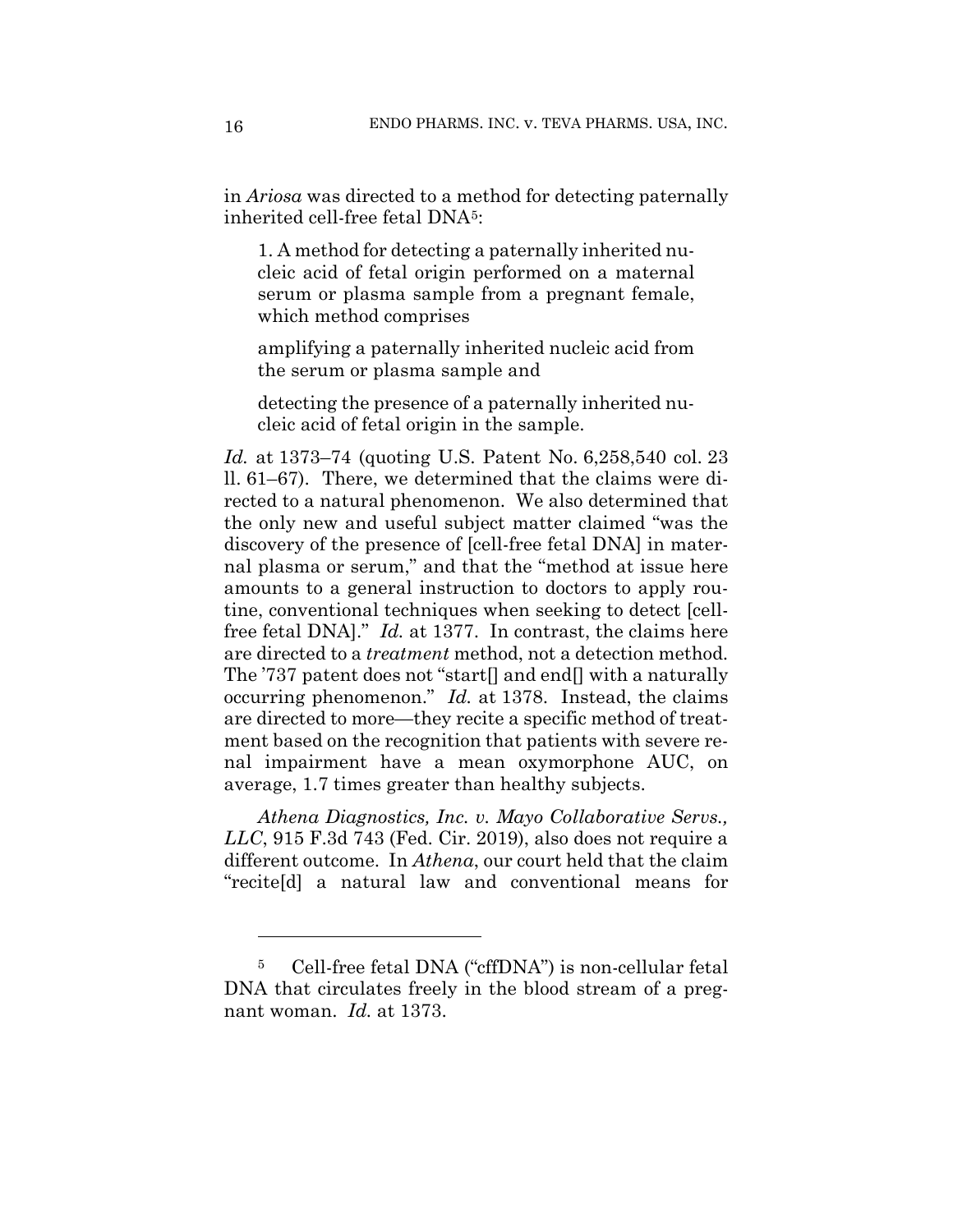in *Ariosa* was directed to a method for detecting paternally inherited cell-free fetal DNA[5](#page-15-0):

1. A method for detecting a paternally inherited nucleic acid of fetal origin performed on a maternal serum or plasma sample from a pregnant female, which method comprises

amplifying a paternally inherited nucleic acid from the serum or plasma sample and

detecting the presence of a paternally inherited nucleic acid of fetal origin in the sample.

*Id.* at 1373–74 (quoting U.S. Patent No. 6,258,540 col. 23 ll. 61–67). There, we determined that the claims were directed to a natural phenomenon. We also determined that the only new and useful subject matter claimed "was the discovery of the presence of [cell-free fetal DNA] in maternal plasma or serum," and that the "method at issue here amounts to a general instruction to doctors to apply routine, conventional techniques when seeking to detect [cellfree fetal DNA]." *Id.* at 1377. In contrast, the claims here are directed to a *treatment* method, not a detection method. The '737 patent does not "start[] and end[] with a naturally occurring phenomenon." *Id.* at 1378. Instead, the claims are directed to more—they recite a specific method of treatment based on the recognition that patients with severe renal impairment have a mean oxymorphone AUC, on average, 1.7 times greater than healthy subjects.

*Athena Diagnostics, Inc. v. Mayo Collaborative Servs., LLC*, 915 F.3d 743 (Fed. Cir. 2019), also does not require a different outcome. In *Athena*, our court held that the claim "recite[d] a natural law and conventional means for

<span id="page-15-0"></span><sup>5</sup> Cell-free fetal DNA ("cffDNA") is non-cellular fetal DNA that circulates freely in the blood stream of a pregnant woman. *Id.* at 1373.